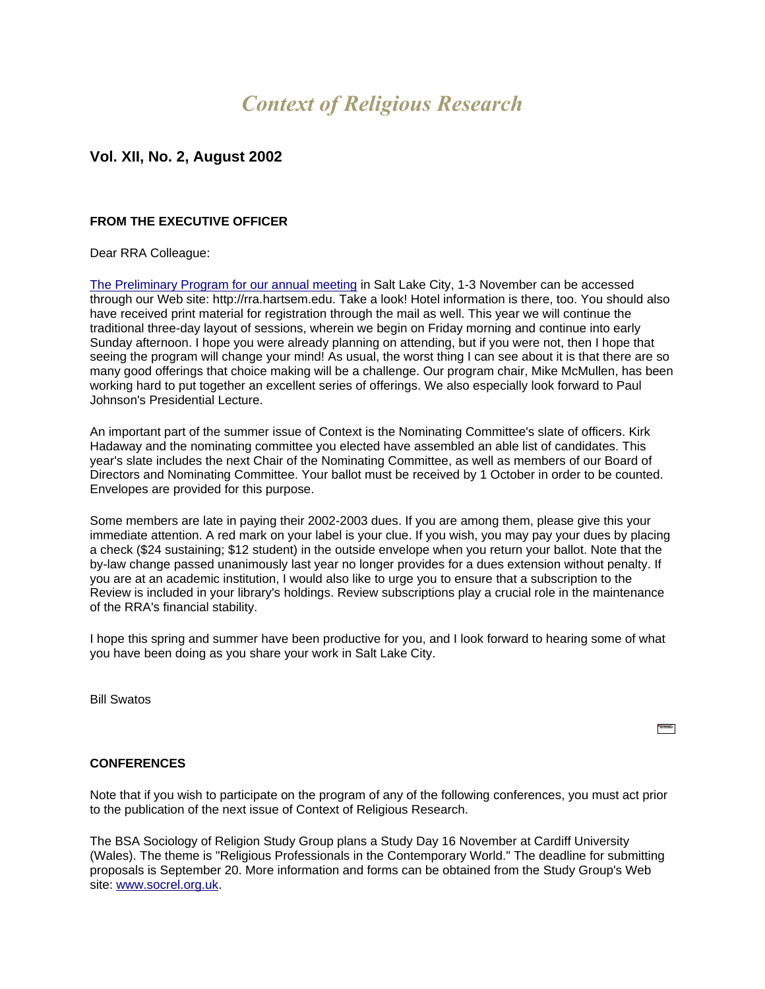# *Context of Religious Research*

# **Vol. XII, No. 2, August 2002**

# **FROM THE EXECUTIVE OFFICER**

#### Dear RRA Colleague:

[The Preliminary Program for our annual meeting](http://las.alfred.edu/~soc/SSSR/index.html) in Salt Lake City, 1-3 November can be accessed through our Web site: http://rra.hartsem.edu. Take a look! Hotel information is there, too. You should also have received print material for registration through the mail as well. This year we will continue the traditional three-day layout of sessions, wherein we begin on Friday morning and continue into early Sunday afternoon. I hope you were already planning on attending, but if you were not, then I hope that seeing the program will change your mind! As usual, the worst thing I can see about it is that there are so many good offerings that choice making will be a challenge. Our program chair, Mike McMullen, has been working hard to put together an excellent series of offerings. We also especially look forward to Paul Johnson's Presidential Lecture.

An important part of the summer issue of Context is the Nominating Committee's slate of officers. Kirk Hadaway and the nominating committee you elected have assembled an able list of candidates. This year's slate includes the next Chair of the Nominating Committee, as well as members of our Board of Directors and Nominating Committee. Your ballot must be received by 1 October in order to be counted. Envelopes are provided for this purpose.

Some members are late in paying their 2002-2003 dues. If you are among them, please give this your immediate attention. A red mark on your label is your clue. If you wish, you may pay your dues by placing a check (\$24 sustaining; \$12 student) in the outside envelope when you return your ballot. Note that the by-law change passed unanimously last year no longer provides for a dues extension without penalty. If you are at an academic institution, I would also like to urge you to ensure that a subscription to the Review is included in your library's holdings. Review subscriptions play a crucial role in the maintenance of the RRA's financial stability.

I hope this spring and summer have been productive for you, and I look forward to hearing some of what you have been doing as you share your work in Salt Lake City.

Bill Swatos

 $\sim$ 

# **CONFERENCES**

Note that if you wish to participate on the program of any of the following conferences, you must act prior to the publication of the next issue of Context of Religious Research.

The BSA Sociology of Religion Study Group plans a Study Day 16 November at Cardiff University (Wales). The theme is "Religious Professionals in the Contemporary World." The deadline for submitting proposals is September 20. More information and forms can be obtained from the Study Group's Web site: [www.socrel.org.uk.](http://www.socrel.org.uk/)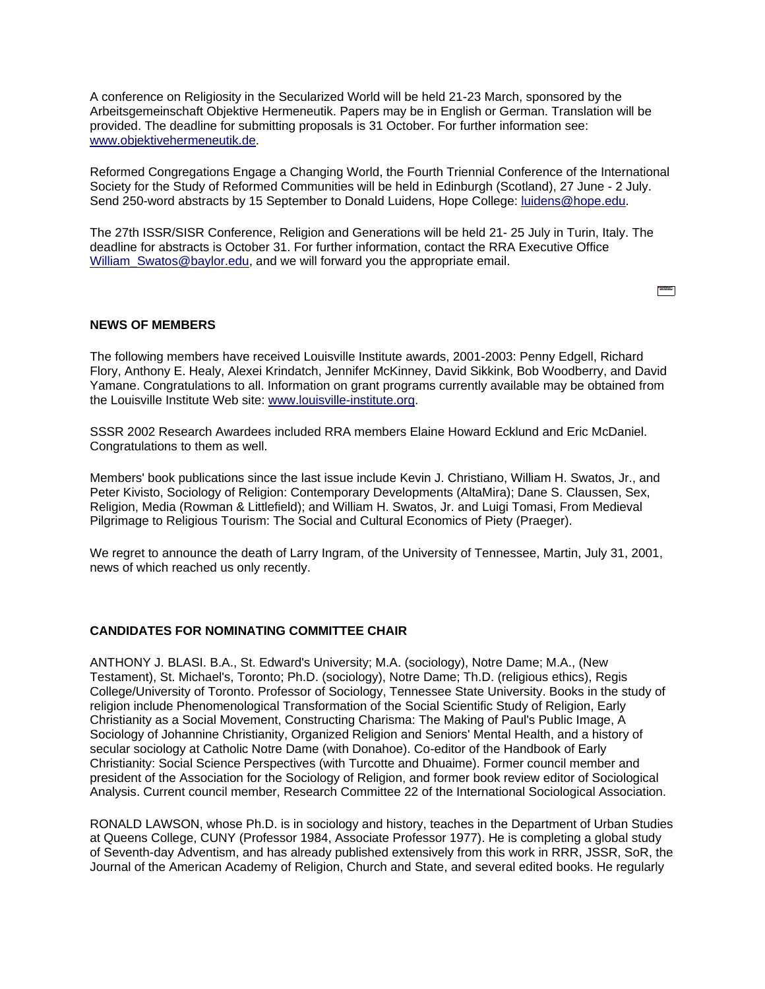A conference on Religiosity in the Secularized World will be held 21-23 March, sponsored by the Arbeitsgemeinschaft Objektive Hermeneutik. Papers may be in English or German. Translation will be provided. The deadline for submitting proposals is 31 October. For further information see: [www.objektivehermeneutik.de.](http://www.objektivehermeneutik.de/)

Reformed Congregations Engage a Changing World, the Fourth Triennial Conference of the International Society for the Study of Reformed Communities will be held in Edinburgh (Scotland), 27 June - 2 July. Send 250-word abstracts by 15 September to Donald Luidens, Hope College: [luidens@hope.edu.](mailto:luidens@hope.edu)

The 27th ISSR/SISR Conference, Religion and Generations will be held 21- 25 July in Turin, Italy. The deadline for abstracts is October 31. For further information, contact the RRA Executive Office [William\\_Swatos@baylor.edu,](mailto:William_Swatos@baylor.edu) and we will forward you the appropriate email.

**REAL** 

# **NEWS OF MEMBERS**

The following members have received Louisville Institute awards, 2001-2003: Penny Edgell, Richard Flory, Anthony E. Healy, Alexei Krindatch, Jennifer McKinney, David Sikkink, Bob Woodberry, and David Yamane. Congratulations to all. Information on grant programs currently available may be obtained from the Louisville Institute Web site: [www.louisville-institute.org.](http://www.louisville-institute.org/)

SSSR 2002 Research Awardees included RRA members Elaine Howard Ecklund and Eric McDaniel. Congratulations to them as well.

Members' book publications since the last issue include Kevin J. Christiano, William H. Swatos, Jr., and Peter Kivisto, Sociology of Religion: Contemporary Developments (AltaMira); Dane S. Claussen, Sex, Religion, Media (Rowman & Littlefield); and William H. Swatos, Jr. and Luigi Tomasi, From Medieval Pilgrimage to Religious Tourism: The Social and Cultural Economics of Piety (Praeger).

We regret to announce the death of Larry Ingram, of the University of Tennessee, Martin, July 31, 2001, news of which reached us only recently.

# **CANDIDATES FOR NOMINATING COMMITTEE CHAIR**

ANTHONY J. BLASI. B.A., St. Edward's University; M.A. (sociology), Notre Dame; M.A., (New Testament), St. Michael's, Toronto; Ph.D. (sociology), Notre Dame; Th.D. (religious ethics), Regis College/University of Toronto. Professor of Sociology, Tennessee State University. Books in the study of religion include Phenomenological Transformation of the Social Scientific Study of Religion, Early Christianity as a Social Movement, Constructing Charisma: The Making of Paul's Public Image, A Sociology of Johannine Christianity, Organized Religion and Seniors' Mental Health, and a history of secular sociology at Catholic Notre Dame (with Donahoe). Co-editor of the Handbook of Early Christianity: Social Science Perspectives (with Turcotte and Dhuaime). Former council member and president of the Association for the Sociology of Religion, and former book review editor of Sociological Analysis. Current council member, Research Committee 22 of the International Sociological Association.

RONALD LAWSON, whose Ph.D. is in sociology and history, teaches in the Department of Urban Studies at Queens College, CUNY (Professor 1984, Associate Professor 1977). He is completing a global study of Seventh-day Adventism, and has already published extensively from this work in RRR, JSSR, SoR, the Journal of the American Academy of Religion, Church and State, and several edited books. He regularly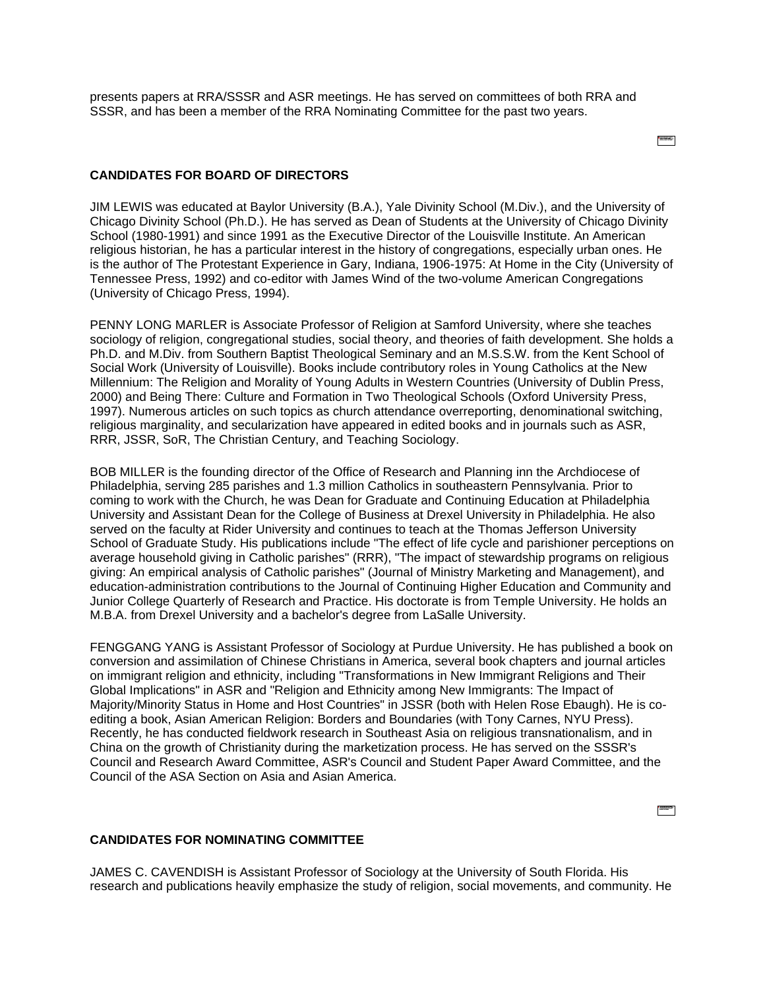presents papers at RRA/SSSR and ASR meetings. He has served on committees of both RRA and SSSR, and has been a member of the RRA Nominating Committee for the past two years.

**TANK STATE** 

# **CANDIDATES FOR BOARD OF DIRECTORS**

JIM LEWIS was educated at Baylor University (B.A.), Yale Divinity School (M.Div.), and the University of Chicago Divinity School (Ph.D.). He has served as Dean of Students at the University of Chicago Divinity School (1980-1991) and since 1991 as the Executive Director of the Louisville Institute. An American religious historian, he has a particular interest in the history of congregations, especially urban ones. He is the author of The Protestant Experience in Gary, Indiana, 1906-1975: At Home in the City (University of Tennessee Press, 1992) and co-editor with James Wind of the two-volume American Congregations (University of Chicago Press, 1994).

PENNY LONG MARLER is Associate Professor of Religion at Samford University, where she teaches sociology of religion, congregational studies, social theory, and theories of faith development. She holds a Ph.D. and M.Div. from Southern Baptist Theological Seminary and an M.S.S.W. from the Kent School of Social Work (University of Louisville). Books include contributory roles in Young Catholics at the New Millennium: The Religion and Morality of Young Adults in Western Countries (University of Dublin Press, 2000) and Being There: Culture and Formation in Two Theological Schools (Oxford University Press, 1997). Numerous articles on such topics as church attendance overreporting, denominational switching, religious marginality, and secularization have appeared in edited books and in journals such as ASR, RRR, JSSR, SoR, The Christian Century, and Teaching Sociology.

BOB MILLER is the founding director of the Office of Research and Planning inn the Archdiocese of Philadelphia, serving 285 parishes and 1.3 million Catholics in southeastern Pennsylvania. Prior to coming to work with the Church, he was Dean for Graduate and Continuing Education at Philadelphia University and Assistant Dean for the College of Business at Drexel University in Philadelphia. He also served on the faculty at Rider University and continues to teach at the Thomas Jefferson University School of Graduate Study. His publications include "The effect of life cycle and parishioner perceptions on average household giving in Catholic parishes" (RRR), "The impact of stewardship programs on religious giving: An empirical analysis of Catholic parishes" (Journal of Ministry Marketing and Management), and education-administration contributions to the Journal of Continuing Higher Education and Community and Junior College Quarterly of Research and Practice. His doctorate is from Temple University. He holds an M.B.A. from Drexel University and a bachelor's degree from LaSalle University.

FENGGANG YANG is Assistant Professor of Sociology at Purdue University. He has published a book on conversion and assimilation of Chinese Christians in America, several book chapters and journal articles on immigrant religion and ethnicity, including "Transformations in New Immigrant Religions and Their Global Implications" in ASR and "Religion and Ethnicity among New Immigrants: The Impact of Majority/Minority Status in Home and Host Countries" in JSSR (both with Helen Rose Ebaugh). He is coediting a book, Asian American Religion: Borders and Boundaries (with Tony Carnes, NYU Press). Recently, he has conducted fieldwork research in Southeast Asia on religious transnationalism, and in China on the growth of Christianity during the marketization process. He has served on the SSSR's Council and Research Award Committee, ASR's Council and Student Paper Award Committee, and the Council of the ASA Section on Asia and Asian America.

 $\begin{tabular}{|c|c|} \hline \multicolumn{1}{|c|}{\textbf{P}} \\ \hline \multicolumn{1}{|c|}{\textbf{P}} \\ \hline \multicolumn{1}{|c|}{\textbf{P}} \\ \hline \multicolumn{1}{|c|}{\textbf{P}} \\ \hline \multicolumn{1}{|c|}{\textbf{P}} \\ \hline \multicolumn{1}{|c|}{\textbf{P}} \\ \hline \multicolumn{1}{|c|}{\textbf{P}} \\ \hline \multicolumn{1}{|c|}{\textbf{P}} \\ \hline \multicolumn{1}{|c|}{\textbf{P}} \\ \hline \multicolumn{1}{|c|}{\textbf{P$ 

# **CANDIDATES FOR NOMINATING COMMITTEE**

JAMES C. CAVENDISH is Assistant Professor of Sociology at the University of South Florida. His research and publications heavily emphasize the study of religion, social movements, and community. He